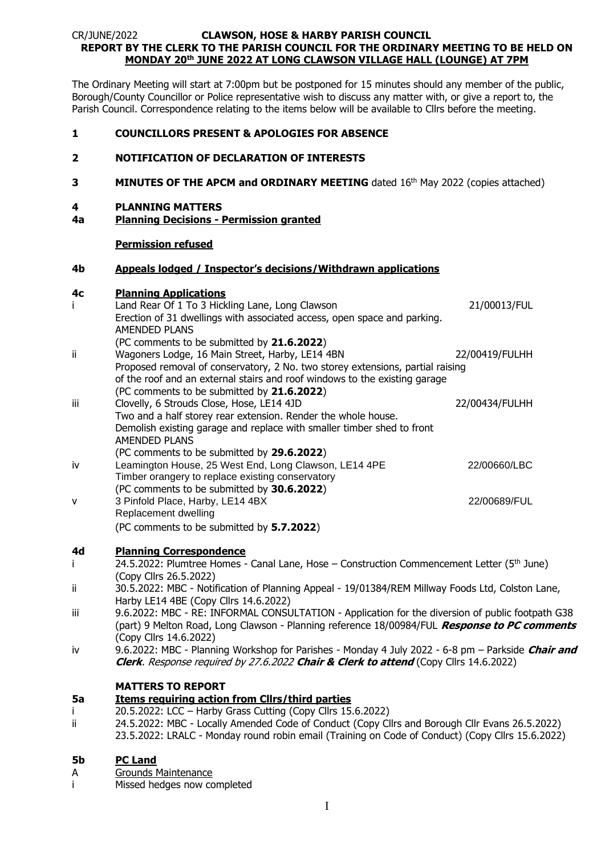## CR/JUNE/2022 **CLAWSON, HOSE & HARBY PARISH COUNCIL REPORT BY THE CLERK TO THE PARISH COUNCIL FOR THE ORDINARY MEETING TO BE HELD ON MONDAY 20th JUNE 2022 AT LONG CLAWSON VILLAGE HALL (LOUNGE) AT 7PM**

The Ordinary Meeting will start at 7:00pm but be postponed for 15 minutes should any member of the public, Borough/County Councillor or Police representative wish to discuss any matter with, or give a report to, the Parish Council. Correspondence relating to the items below will be available to Cllrs before the meeting.

## **1 COUNCILLORS PRESENT & APOLOGIES FOR ABSENCE**

## **2 NOTIFICATION OF DECLARATION OF INTERESTS**

**3 MINUTES OF THE APCM and ORDINARY MEETING** dated 16<sup>th</sup> May 2022 (copies attached)

#### **4 PLANNING MATTERS**

**4a Planning Decisions - Permission granted**

### **Permission refused**

#### **4b Appeals lodged / Inspector's decisions/Withdrawn applications**

### **4c Planning Applications**

|     | Land Rear Of 1 To 3 Hickling Lane, Long Clawson                                | 21/00013/FUL   |  |  |
|-----|--------------------------------------------------------------------------------|----------------|--|--|
|     | Erection of 31 dwellings with associated access, open space and parking.       |                |  |  |
|     | AMENDED PLANS                                                                  |                |  |  |
|     | (PC comments to be submitted by 21.6.2022)                                     |                |  |  |
| iί  | Wagoners Lodge, 16 Main Street, Harby, LE14 4BN                                | 22/00419/FULHH |  |  |
|     | Proposed removal of conservatory, 2 No. two storey extensions, partial raising |                |  |  |
|     | of the roof and an external stairs and roof windows to the existing garage     |                |  |  |
|     | (PC comments to be submitted by 21.6.2022)                                     |                |  |  |
| iii | Clovelly, 6 Strouds Close, Hose, LE14 4JD                                      | 22/00434/FULHH |  |  |
|     | Two and a half storey rear extension. Render the whole house.                  |                |  |  |
|     | Demolish existing garage and replace with smaller timber shed to front         |                |  |  |
|     | <b>AMENDED PLANS</b>                                                           |                |  |  |
|     | (PC comments to be submitted by 29.6.2022)                                     |                |  |  |
| iv  | Leamington House, 25 West End, Long Clawson, LE14 4PE                          | 22/00660/LBC   |  |  |
|     | Timber orangery to replace existing conservatory                               |                |  |  |
|     | (PC comments to be submitted by 30.6.2022)                                     |                |  |  |
| v   | 3 Pinfold Place, Harby, LE14 4BX                                               | 22/00689/FUL   |  |  |
|     | Replacement dwelling                                                           |                |  |  |
|     | (PC comments to be submitted by 5.7.2022)                                      |                |  |  |

### **4d Planning Correspondence**

- i 24.5.2022: Plumtree Homes Canal Lane, Hose Construction Commencement Letter  $(5<sup>th</sup>$  June) (Copy Cllrs 26.5.2022)
- ii 30.5.2022: MBC Notification of Planning Appeal 19/01384/REM Millway Foods Ltd, Colston Lane, Harby LE14 4BE (Copy Cllrs 14.6.2022)
- iii 9.6.2022: MBC RE: INFORMAL CONSULTATION Application for the diversion of public footpath G38 (part) 9 Melton Road, Long Clawson - Planning reference 18/00984/FUL **Response to PC comments** (Copy Cllrs 14.6.2022)
- iv 9.6.2022: MBC Planning Workshop for Parishes Monday 4 July 2022 6-8 pm Parkside **Chair and Clerk**. Response required by 27.6.2022 **Chair & Clerk to attend** (Copy Cllrs 14.6.2022)

## **MATTERS TO REPORT**

### **5a Items requiring action from Cllrs/third parties**

- i 20.5.2022: LCC Harby Grass Cutting (Copy Cllrs 15.6.2022)
- ii 24.5.2022: MBC Locally Amended Code of Conduct (Copy Cllrs and Borough Cllr Evans 26.5.2022)
- 23.5.2022: LRALC Monday round robin email (Training on Code of Conduct) (Copy Cllrs 15.6.2022)

### **5b PC Land**

- A Grounds Maintenance
- i Missed hedges now completed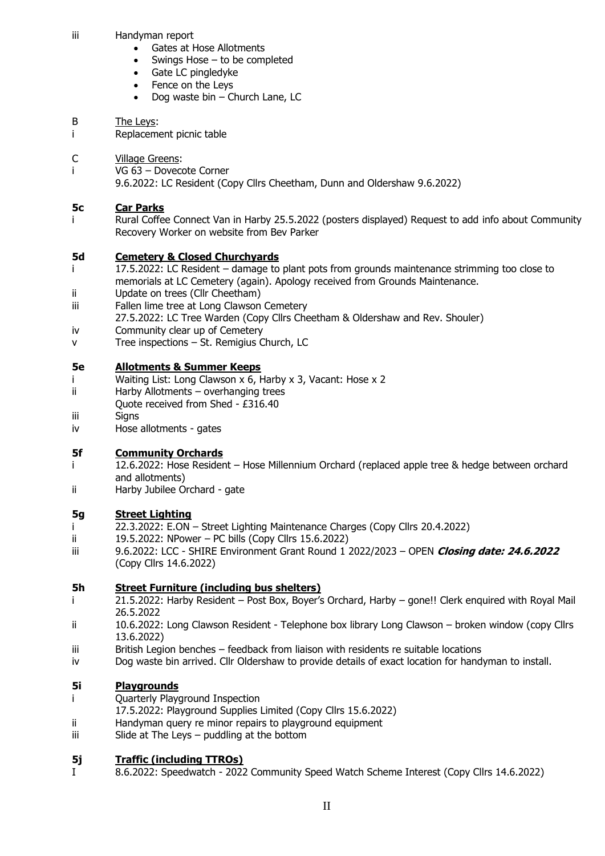- iii Handyman report
	- Gates at Hose Allotments
	- Swings Hose  $-$  to be completed
	- Gate LC pingledyke
	- Fence on the Leys
	- Dog waste bin Church Lane, LC

## B The Leys:

i Replacement picnic table

# C Village Greens:

i VG 63 – Dovecote Corner

9.6.2022: LC Resident (Copy Cllrs Cheetham, Dunn and Oldershaw 9.6.2022)

# **5c Car Parks**

Rural Coffee Connect Van in Harby 25.5.2022 (posters displayed) Request to add info about Community Recovery Worker on website from Bev Parker

# **5d Cemetery & Closed Churchyards**

- i 17.5.2022: LC Resident damage to plant pots from grounds maintenance strimming too close to memorials at LC Cemetery (again). Apology received from Grounds Maintenance.
- ii Update on trees (Cllr Cheetham)
- iii Fallen lime tree at Long Clawson Cemetery
- 27.5.2022: LC Tree Warden (Copy Cllrs Cheetham & Oldershaw and Rev. Shouler)
- iv Community clear up of Cemetery
- v Tree inspections St. Remigius Church, LC

## **5e Allotments & Summer Keeps**

- i Waiting List: Long Clawson x 6, Harby x 3, Vacant: Hose x 2
- ii Harby Allotments overhanging trees
- Quote received from Shed £316.40
- iii Signs
- iv Hose allotments gates

# **5f Community Orchards**

- i 12.6.2022: Hose Resident Hose Millennium Orchard (replaced apple tree & hedge between orchard and allotments)
- ii Harby Jubilee Orchard gate

# **5g Street Lighting**

- i 22.3.2022: E.ON Street Lighting Maintenance Charges (Copy Cllrs 20.4.2022)
- ii 19.5.2022: NPower PC bills (Copy Cllrs 15.6.2022)
- iii 9.6.2022: LCC SHIRE Environment Grant Round 1 2022/2023 OPEN **Closing date: 24.6.2022**  (Copy Cllrs 14.6.2022)

# **5h Street Furniture (including bus shelters)**

- i 21.5.2022: Harby Resident Post Box, Boyer's Orchard, Harby gone!! Clerk enquired with Royal Mail 26.5.2022
- ii 10.6.2022: Long Clawson Resident Telephone box library Long Clawson broken window (copy Cllrs 13.6.2022)
- iii British Legion benches feedback from liaison with residents re suitable locations
- iv Dog waste bin arrived. Cllr Oldershaw to provide details of exact location for handyman to install.

# **5i Playgrounds**

- i Quarterly Playground Inspection
- 17.5.2022: Playground Supplies Limited (Copy Cllrs 15.6.2022)
- ii Handyman query re minor repairs to playground equipment
- iii Slide at The Leys puddling at the bottom

# **5j Traffic (including TTROs)**

I 8.6.2022: Speedwatch - 2022 Community Speed Watch Scheme Interest (Copy Cllrs 14.6.2022)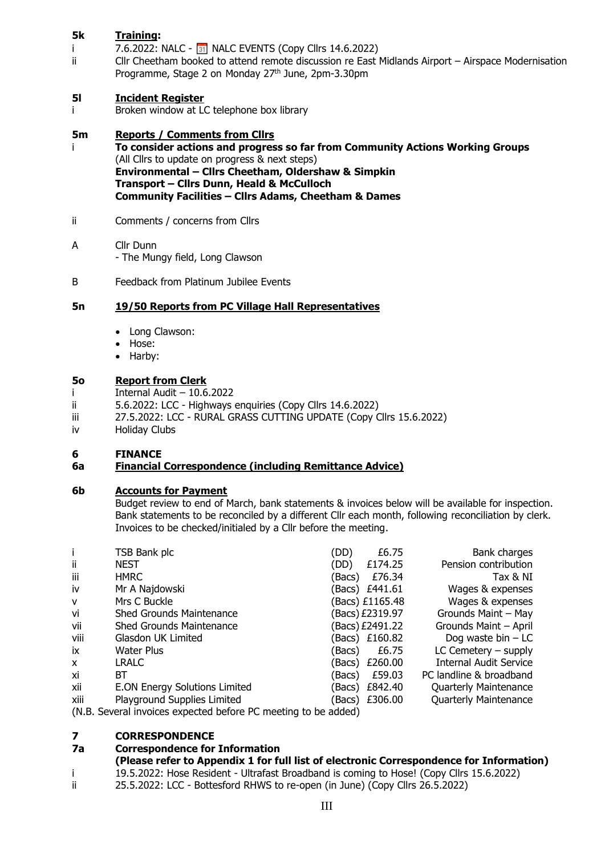# **5k Training:**

- i 7.6.2022: NALC  $\boxed{31}$  NALC EVENTS (Copy Cllrs 14.6.2022)<br>ii Cllr Cheetham booked to attend remote discussion re East
- Cllr Cheetham booked to attend remote discussion re East Midlands Airport Airspace Modernisation Programme, Stage 2 on Monday 27<sup>th</sup> June, 2pm-3.30pm

# **5l Incident Register**

i Broken window at LC telephone box library

# **5m Reports / Comments from Cllrs**

- i **To consider actions and progress so far from Community Actions Working Groups** (All Cllrs to update on progress & next steps) **Environmental – Cllrs Cheetham, Oldershaw & Simpkin Transport – Cllrs Dunn, Heald & McCulloch Community Facilities – Cllrs Adams, Cheetham & Dames**
- ii Comments / concerns from Cllrs

## A Cllr Dunn

- The Mungy field, Long Clawson
- B Feedback from Platinum Jubilee Events

## **5n 19/50 Reports from PC Village Hall Representatives**

- Long Clawson:
- Hose:
- Harby:

## **5o Report from Clerk**

- i Internal Audit 10.6.2022
- ii 5.6.2022: LCC Highways enquiries (Copy Cllrs 14.6.2022)
- iii 27.5.2022: LCC RURAL GRASS CUTTING UPDATE (Copy Cllrs 15.6.2022)<br>iv Holiday Clubs
- Holiday Clubs

## **6 FINANCE**

## **6a Financial Correspondence (including Remittance Advice)**

## **6b Accounts for Payment**

Budget review to end of March, bank statements & invoices below will be available for inspection. Bank statements to be reconciled by a different Cllr each month, following reconciliation by clerk. Invoices to be checked/initialed by a Cllr before the meeting.

|                                                                | TSB Bank plc                         | (DD)  | £6.75           | Bank charges                  |  |
|----------------------------------------------------------------|--------------------------------------|-------|-----------------|-------------------------------|--|
| ii.                                                            | <b>NEST</b>                          | (DD)  | £174.25         | Pension contribution          |  |
| iii                                                            | <b>HMRC</b>                          | Bacs) | £76.34          | Tax & NI                      |  |
| iv                                                             | Mr A Najdowski                       |       | (Bacs) £441.61  | Wages & expenses              |  |
| $\mathsf{v}$                                                   | Mrs C Buckle                         |       | Bacs) £1165.48  | Wages & expenses              |  |
| vi                                                             | <b>Shed Grounds Maintenance</b>      |       | Bacs) £2319.97  | Grounds Maint - May           |  |
| vii                                                            | <b>Shed Grounds Maintenance</b>      |       | (Bacs) £2491.22 | Grounds Maint - April         |  |
| viii                                                           | Glasdon UK Limited                   |       | Bacs) £160.82   | Dog waste bin $- LC$          |  |
| ix                                                             | Water Plus                           | Bacs) | £6.75           | $LC$ Cemetery $-$ supply      |  |
| $\mathsf{x}$                                                   | <b>LRALC</b>                         |       | (Bacs) £260.00  | <b>Internal Audit Service</b> |  |
| xi                                                             | ВT                                   | Bacs) | £59.03          | PC landline & broadband       |  |
| xii                                                            | <b>E.ON Energy Solutions Limited</b> |       | Bacs) £842.40   | <b>Quarterly Maintenance</b>  |  |
| xiii                                                           | Playground Supplies Limited          |       | Bacs) £306.00   | <b>Quarterly Maintenance</b>  |  |
| (N.B. Several invoices expected before PC meeting to be added) |                                      |       |                 |                               |  |

## **7 CORRESPONDENCE**

## **7a Correspondence for Information**

- **(Please refer to Appendix 1 for full list of electronic Correspondence for Information)**
- i 19.5.2022: Hose Resident Ultrafast Broadband is coming to Hose! (Copy Cllrs 15.6.2022)
- ii 25.5.2022: LCC Bottesford RHWS to re-open (in June) (Copy Cllrs 26.5.2022)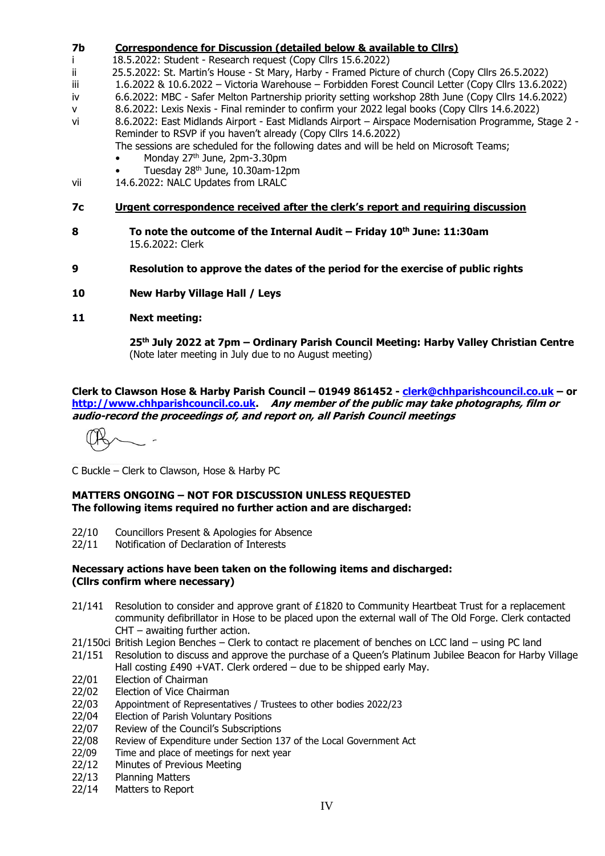# **7b Correspondence for Discussion (detailed below & available to Cllrs)**

- i 18.5.2022: Student Research request (Copy Cllrs 15.6.2022)<br>ii 25.5.2022: St. Martin's House St Mary, Harby Framed Pictur
- 25.5.2022: St. Martin's House St Mary, Harby Framed Picture of church (Copy Cllrs 26.5.2022)
- iii 1.6.2022 & 10.6.2022 Victoria Warehouse Forbidden Forest Council Letter (Copy Cllrs 13.6.2022)
- iv 6.6.2022: MBC Safer Melton Partnership priority setting workshop 28th June (Copy Cllrs 14.6.2022)
- v 8.6.2022: Lexis Nexis Final reminder to confirm your 2022 legal books (Copy Cllrs 14.6.2022)
- vi 8.6.2022: East Midlands Airport East Midlands Airport Airspace Modernisation Programme, Stage 2 Reminder to RSVP if you haven't already (Copy Cllrs 14.6.2022)

The sessions are scheduled for the following dates and will be held on Microsoft Teams;

- Monday 27<sup>th</sup> June, 2pm-3.30pm
- Tuesday 28th June, 10.30am-12pm
- vii 14.6.2022: NALC Updates from LRALC
- **7c Urgent correspondence received after the clerk's report and requiring discussion**
- **8 To note the outcome of the Internal Audit – Friday 10th June: 11:30am** 15.6.2022: Clerk
- **9 Resolution to approve the dates of the period for the exercise of public rights**
- **10 New Harby Village Hall / Leys**

# **11 Next meeting:**

**25th July 2022 at 7pm – Ordinary Parish Council Meeting: Harby Valley Christian Centre** (Note later meeting in July due to no August meeting)

**Clerk to Clawson Hose & Harby Parish Council – 01949 861452 - [clerk@chhparishcouncil.co.uk](mailto:clerk@chhparishcouncil.co.uk) – or [http://www.chhparishcouncil.co.uk.](http://www.chhparishcouncil.co.uk/) Any member of the public may take photographs, film or audio-record the proceedings of, and report on, all Parish Council meetings**

 $\overline{a}$ 

C Buckle – Clerk to Clawson, Hose & Harby PC

## **MATTERS ONGOING – NOT FOR DISCUSSION UNLESS REQUESTED The following items required no further action and are discharged:**

- 22/10 Councillors Present & Apologies for Absence
- 22/11 Notification of Declaration of Interests

## **Necessary actions have been taken on the following items and discharged: (Cllrs confirm where necessary)**

- 21/141 Resolution to consider and approve grant of £1820 to Community Heartbeat Trust for a replacement community defibrillator in Hose to be placed upon the external wall of The Old Forge. Clerk contacted CHT – awaiting further action.
- 21/150ci British Legion Benches Clerk to contact re placement of benches on LCC land using PC land
- 21/151 Resolution to discuss and approve the purchase of a Queen's Platinum Jubilee Beacon for Harby Village Hall costing £490 +VAT. Clerk ordered – due to be shipped early May.
- 22/01 Election of Chairman
- 22/02 Election of Vice Chairman
- 22/03 Appointment of Representatives / Trustees to other bodies 2022/23
- 22/04 Election of Parish Voluntary Positions
- 22/07 Review of the Council's Subscriptions
- 22/08 Review of Expenditure under Section 137 of the Local Government Act
- 22/09 Time and place of meetings for next year
- 22/12 Minutes of Previous Meeting
- 22/13 Planning Matters
- 22/14 Matters to Report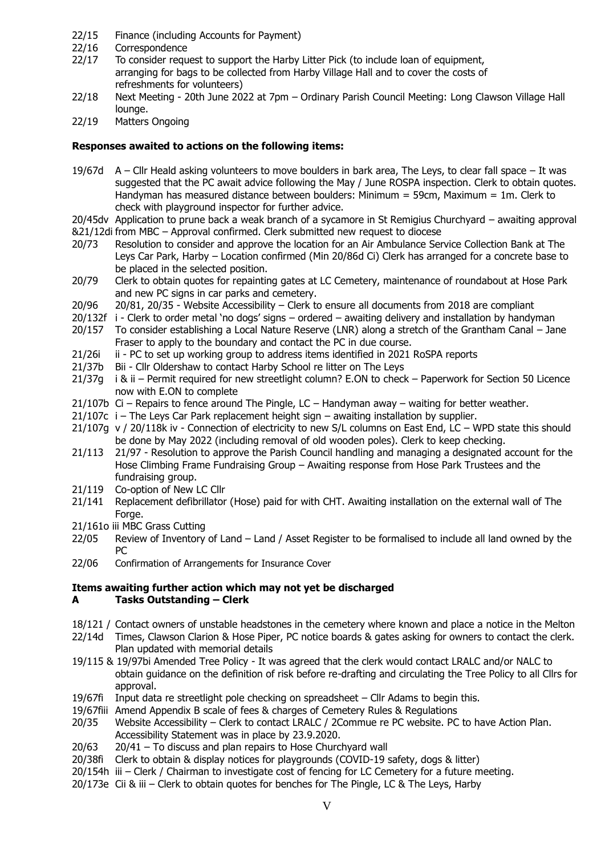- 22/15 Finance (including Accounts for Payment)
- 22/16 Correspondence<br>22/17 To consider requ
- To consider request to support the Harby Litter Pick (to include loan of equipment, arranging for bags to be collected from Harby Village Hall and to cover the costs of refreshments for volunteers)
- 22/18 Next Meeting 20th June 2022 at 7pm Ordinary Parish Council Meeting: Long Clawson Village Hall lounge.
- 22/19 Matters Ongoing

## **Responses awaited to actions on the following items:**

- 19/67d A Cllr Heald asking volunteers to move boulders in bark area, The Leys, to clear fall space It was suggested that the PC await advice following the May / June ROSPA inspection. Clerk to obtain quotes. Handyman has measured distance between boulders: Minimum = 59cm, Maximum = 1m. Clerk to check with playground inspector for further advice.
- 20/45dv Application to prune back a weak branch of a sycamore in St Remigius Churchyard awaiting approval
- &21/12di from MBC Approval confirmed. Clerk submitted new request to diocese
- 20/73 Resolution to consider and approve the location for an Air Ambulance Service Collection Bank at The Leys Car Park, Harby – Location confirmed (Min 20/86d Ci) Clerk has arranged for a concrete base to be placed in the selected position.
- 20/79 Clerk to obtain quotes for repainting gates at LC Cemetery, maintenance of roundabout at Hose Park and new PC signs in car parks and cemetery.
- 20/96 20/81, 20/35 Website Accessibility Clerk to ensure all documents from 2018 are compliant
- 20/132f i Clerk to order metal 'no dogs' signs ordered awaiting delivery and installation by handyman
- 20/157 To consider establishing a Local Nature Reserve (LNR) along a stretch of the Grantham Canal Jane Fraser to apply to the boundary and contact the PC in due course.
- 21/26i ii PC to set up working group to address items identified in 2021 RoSPA reports
- 21/37b Bii Cllr Oldershaw to contact Harby School re litter on The Leys
- 21/37g i & ii Permit required for new streetlight column? E.ON to check Paperwork for Section 50 Licence now with E.ON to complete
- 21/107b Ci Repairs to fence around The Pingle, LC Handyman away waiting for better weather.
- 21/107c i The Leys Car Park replacement height sign awaiting installation by supplier.
- 21/107g v / 20/118k iv Connection of electricity to new S/L columns on East End, LC WPD state this should be done by May 2022 (including removal of old wooden poles). Clerk to keep checking.
- 21/113 21/97 Resolution to approve the Parish Council handling and managing a designated account for the Hose Climbing Frame Fundraising Group – Awaiting response from Hose Park Trustees and the fundraising group.
- 21/119 Co-option of New LC Cllr
- 21/141 Replacement defibrillator (Hose) paid for with CHT. Awaiting installation on the external wall of The Forge.
- 21/161o iii MBC Grass Cutting
- 22/05 Review of Inventory of Land Land / Asset Register to be formalised to include all land owned by the PC
- 22/06 Confirmation of Arrangements for Insurance Cover

### **Items awaiting further action which may not yet be discharged A Tasks Outstanding – Clerk**

- 18/121 / Contact owners of unstable headstones in the cemetery where known and place a notice in the Melton
- 22/14d Times, Clawson Clarion & Hose Piper, PC notice boards & gates asking for owners to contact the clerk. Plan updated with memorial details
- 19/115 & 19/97bi Amended Tree Policy It was agreed that the clerk would contact LRALC and/or NALC to obtain guidance on the definition of risk before re-drafting and circulating the Tree Policy to all Cllrs for approval.
- 19/67fi Input data re streetlight pole checking on spreadsheet Cllr Adams to begin this.
- 19/67fiii Amend Appendix B scale of fees & charges of Cemetery Rules & Regulations
- 20/35 Website Accessibility Clerk to contact LRALC / 2Commue re PC website. PC to have Action Plan. Accessibility Statement was in place by 23.9.2020.
- 20/63 20/41 To discuss and plan repairs to Hose Churchyard wall
- 20/38fi Clerk to obtain & display notices for playgrounds (COVID-19 safety, dogs & litter)
- 20/154h iii Clerk / Chairman to investigate cost of fencing for LC Cemetery for a future meeting.
- 20/173e Cii & iii Clerk to obtain quotes for benches for The Pingle, LC & The Leys, Harby